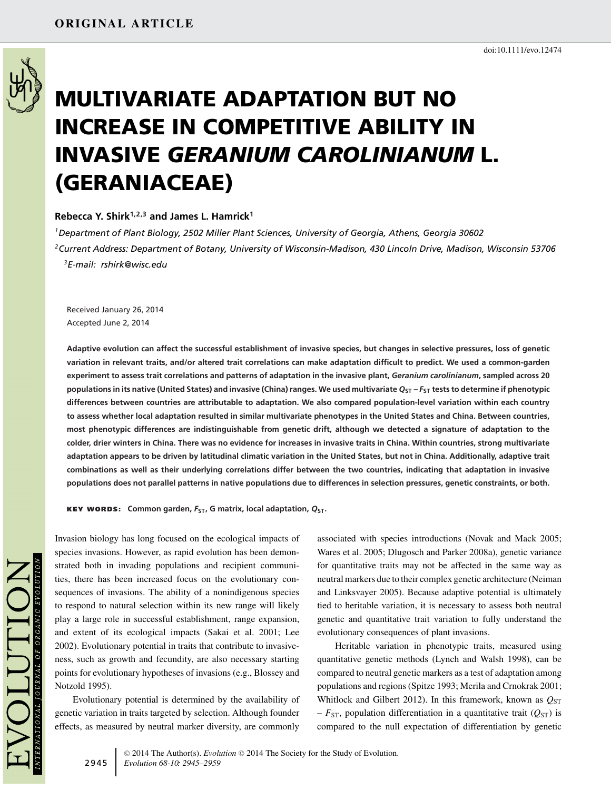

# **MULTIVARIATE ADAPTATION BUT NO INCREASE IN COMPETITIVE ABILITY IN INVASIVE** *GERANIUM CAROLINIANUM* **L. (GERANIACEAE)**

## **Rebecca Y. Shirk1,2,3 and James L. Hamrick1**

*1Department of Plant Biology, 2502 Miller Plant Sciences, University of Georgia, Athens, Georgia 30602 2Current Address: Department of Botany, University of Wisconsin-Madison, 430 Lincoln Drive, Madison, Wisconsin 53706 3E-mail: rshirk@wisc.edu*

Received January 26, 2014 Accepted June 2, 2014

**Adaptive evolution can affect the successful establishment of invasive species, but changes in selective pressures, loss of genetic variation in relevant traits, and/or altered trait correlations can make adaptation difficult to predict. We used a common-garden experiment to assess trait correlations and patterns of adaptation in the invasive plant,** *Geranium carolinianum***, sampled across 20 populations in its native (United States) and invasive (China) ranges. We used multivariate** *Q***ST –** *F***ST tests to determine if phenotypic differences between countries are attributable to adaptation. We also compared population-level variation within each country to assess whether local adaptation resulted in similar multivariate phenotypes in the United States and China. Between countries, most phenotypic differences are indistinguishable from genetic drift, although we detected a signature of adaptation to the colder, drier winters in China. There was no evidence for increases in invasive traits in China. Within countries, strong multivariate adaptation appears to be driven by latitudinal climatic variation in the United States, but not in China. Additionally, adaptive trait combinations as well as their underlying correlations differ between the two countries, indicating that adaptation in invasive populations does not parallel patterns in native populations due to differences in selection pressures, genetic constraints, or both.**

**KEY WORDS: Common garden,** *F***ST, G matrix, local adaptation,** *Q***ST.**

Invasion biology has long focused on the ecological impacts of species invasions. However, as rapid evolution has been demonstrated both in invading populations and recipient communities, there has been increased focus on the evolutionary consequences of invasions. The ability of a nonindigenous species to respond to natural selection within its new range will likely play a large role in successful establishment, range expansion, and extent of its ecological impacts (Sakai et al. 2001; Lee 2002). Evolutionary potential in traits that contribute to invasiveness, such as growth and fecundity, are also necessary starting points for evolutionary hypotheses of invasions (e.g., Blossey and Notzold 1995).

Evolutionary potential is determined by the availability of genetic variation in traits targeted by selection. Although founder effects, as measured by neutral marker diversity, are commonly

associated with species introductions (Novak and Mack 2005; Wares et al. 2005; Dlugosch and Parker 2008a), genetic variance for quantitative traits may not be affected in the same way as neutral markers due to their complex genetic architecture (Neiman and Linksvayer 2005). Because adaptive potential is ultimately tied to heritable variation, it is necessary to assess both neutral genetic and quantitative trait variation to fully understand the evolutionary consequences of plant invasions.

Heritable variation in phenotypic traits, measured using quantitative genetic methods (Lynch and Walsh 1998), can be compared to neutral genetic markers as a test of adaptation among populations and regions (Spitze 1993; Merila and Crnokrak 2001; Whitlock and Gilbert 2012). In this framework, known as  $Q_{ST}$  $-F_{ST}$ , population differentiation in a quantitative trait ( $Q_{ST}$ ) is compared to the null expectation of differentiation by genetic

doi:10.1111/evo.12474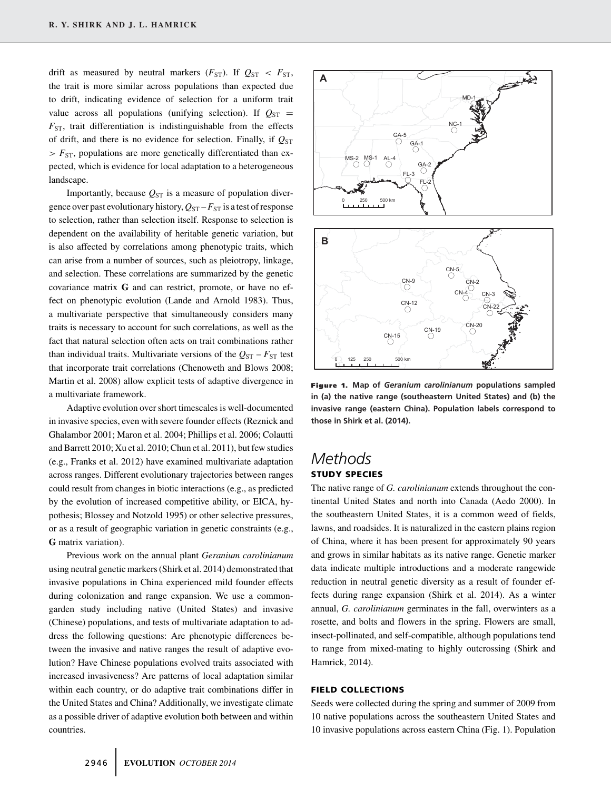drift as measured by neutral markers  $(F_{ST})$ . If  $Q_{ST} < F_{ST}$ , the trait is more similar across populations than expected due to drift, indicating evidence of selection for a uniform trait value across all populations (unifying selection). If  $Q_{ST}$  =  $F_{ST}$ , trait differentiation is indistinguishable from the effects of drift, and there is no evidence for selection. Finally, if  $Q_{ST}$ *> F*ST, populations are more genetically differentiated than expected, which is evidence for local adaptation to a heterogeneous landscape.

Importantly, because  $Q_{ST}$  is a measure of population divergence over past evolutionary history,  $Q_{ST} - F_{ST}$  is a test of response to selection, rather than selection itself. Response to selection is dependent on the availability of heritable genetic variation, but is also affected by correlations among phenotypic traits, which can arise from a number of sources, such as pleiotropy, linkage, and selection. These correlations are summarized by the genetic covariance matrix **G** and can restrict, promote, or have no effect on phenotypic evolution (Lande and Arnold 1983). Thus, a multivariate perspective that simultaneously considers many traits is necessary to account for such correlations, as well as the fact that natural selection often acts on trait combinations rather than individual traits. Multivariate versions of the  $Q_{ST} - F_{ST}$  test that incorporate trait correlations (Chenoweth and Blows 2008; Martin et al. 2008) allow explicit tests of adaptive divergence in a multivariate framework.

Adaptive evolution over short timescales is well-documented in invasive species, even with severe founder effects (Reznick and Ghalambor 2001; Maron et al. 2004; Phillips et al. 2006; Colautti and Barrett 2010; Xu et al. 2010; Chun et al. 2011), but few studies (e.g., Franks et al. 2012) have examined multivariate adaptation across ranges. Different evolutionary trajectories between ranges could result from changes in biotic interactions (e.g., as predicted by the evolution of increased competitive ability, or EICA, hypothesis; Blossey and Notzold 1995) or other selective pressures, or as a result of geographic variation in genetic constraints (e.g., **G** matrix variation).

Previous work on the annual plant *Geranium carolinianum* using neutral genetic markers (Shirk et al. 2014) demonstrated that invasive populations in China experienced mild founder effects during colonization and range expansion. We use a commongarden study including native (United States) and invasive (Chinese) populations, and tests of multivariate adaptation to address the following questions: Are phenotypic differences between the invasive and native ranges the result of adaptive evolution? Have Chinese populations evolved traits associated with increased invasiveness? Are patterns of local adaptation similar within each country, or do adaptive trait combinations differ in the United States and China? Additionally, we investigate climate as a possible driver of adaptive evolution both between and within countries.



**Figure 1. Map of** *Geranium carolinianum* **populations sampled in (a) the native range (southeastern United States) and (b) the invasive range (eastern China). Population labels correspond to those in Shirk et al. (2014).**

# *Methods* **STUDY SPECIES**

The native range of *G. carolinianum* extends throughout the continental United States and north into Canada (Aedo 2000). In the southeastern United States, it is a common weed of fields, lawns, and roadsides. It is naturalized in the eastern plains region of China, where it has been present for approximately 90 years and grows in similar habitats as its native range. Genetic marker data indicate multiple introductions and a moderate rangewide reduction in neutral genetic diversity as a result of founder effects during range expansion (Shirk et al. 2014). As a winter annual, *G. carolinianum* germinates in the fall, overwinters as a rosette, and bolts and flowers in the spring. Flowers are small, insect-pollinated, and self-compatible, although populations tend to range from mixed-mating to highly outcrossing (Shirk and Hamrick, 2014).

#### **FIELD COLLECTIONS**

Seeds were collected during the spring and summer of 2009 from 10 native populations across the southeastern United States and 10 invasive populations across eastern China (Fig. 1). Population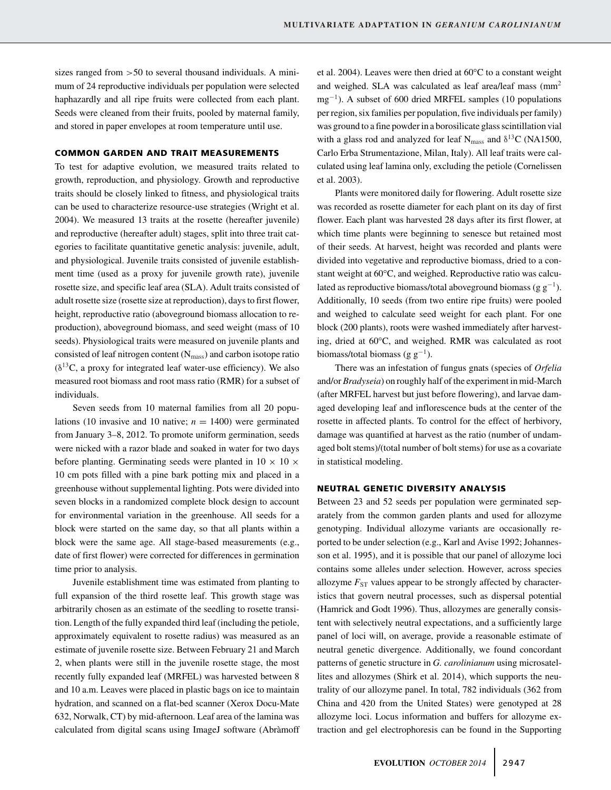sizes ranged from *>*50 to several thousand individuals. A minimum of 24 reproductive individuals per population were selected haphazardly and all ripe fruits were collected from each plant. Seeds were cleaned from their fruits, pooled by maternal family, and stored in paper envelopes at room temperature until use.

#### **COMMON GARDEN AND TRAIT MEASUREMENTS**

To test for adaptive evolution, we measured traits related to growth, reproduction, and physiology. Growth and reproductive traits should be closely linked to fitness, and physiological traits can be used to characterize resource-use strategies (Wright et al. 2004). We measured 13 traits at the rosette (hereafter juvenile) and reproductive (hereafter adult) stages, split into three trait categories to facilitate quantitative genetic analysis: juvenile, adult, and physiological. Juvenile traits consisted of juvenile establishment time (used as a proxy for juvenile growth rate), juvenile rosette size, and specific leaf area (SLA). Adult traits consisted of adult rosette size (rosette size at reproduction), days to first flower, height, reproductive ratio (aboveground biomass allocation to reproduction), aboveground biomass, and seed weight (mass of 10 seeds). Physiological traits were measured on juvenile plants and consisted of leaf nitrogen content  $(N<sub>mass</sub>)$  and carbon isotope ratio  $(\delta^{13}C,$  a proxy for integrated leaf water-use efficiency). We also measured root biomass and root mass ratio (RMR) for a subset of individuals.

Seven seeds from 10 maternal families from all 20 populations (10 invasive and 10 native;  $n = 1400$ ) were germinated from January 3–8, 2012. To promote uniform germination, seeds were nicked with a razor blade and soaked in water for two days before planting. Germinating seeds were planted in  $10 \times 10 \times$ 10 cm pots filled with a pine bark potting mix and placed in a greenhouse without supplemental lighting. Pots were divided into seven blocks in a randomized complete block design to account for environmental variation in the greenhouse. All seeds for a block were started on the same day, so that all plants within a block were the same age. All stage-based measurements (e.g., date of first flower) were corrected for differences in germination time prior to analysis.

Juvenile establishment time was estimated from planting to full expansion of the third rosette leaf. This growth stage was arbitrarily chosen as an estimate of the seedling to rosette transition. Length of the fully expanded third leaf (including the petiole, approximately equivalent to rosette radius) was measured as an estimate of juvenile rosette size. Between February 21 and March 2, when plants were still in the juvenile rosette stage, the most recently fully expanded leaf (MRFEL) was harvested between 8 and 10 a.m. Leaves were placed in plastic bags on ice to maintain hydration, and scanned on a flat-bed scanner (Xerox Docu-Mate 632, Norwalk, CT) by mid-afternoon. Leaf area of the lamina was calculated from digital scans using ImageJ software (Abràmoff et al. 2004). Leaves were then dried at 60°C to a constant weight and weighed. SLA was calculated as leaf area/leaf mass (mm<sup>2</sup>) mg<sup>-1</sup>). A subset of 600 dried MRFEL samples (10 populations per region, six families per population, five individuals per family) was ground to a fine powder in a borosilicate glass scintillation vial with a glass rod and analyzed for leaf N<sub>mass</sub> and  $\delta^{13}$ C (NA1500, Carlo Erba Strumentazione, Milan, Italy). All leaf traits were calculated using leaf lamina only, excluding the petiole (Cornelissen et al. 2003).

Plants were monitored daily for flowering. Adult rosette size was recorded as rosette diameter for each plant on its day of first flower. Each plant was harvested 28 days after its first flower, at which time plants were beginning to senesce but retained most of their seeds. At harvest, height was recorded and plants were divided into vegetative and reproductive biomass, dried to a constant weight at 60°C, and weighed. Reproductive ratio was calculated as reproductive biomass/total aboveground biomass (g  $g^{-1}$ ). Additionally, 10 seeds (from two entire ripe fruits) were pooled and weighed to calculate seed weight for each plant. For one block (200 plants), roots were washed immediately after harvesting, dried at 60°C, and weighed. RMR was calculated as root biomass/total biomass (g  $g^{-1}$ ).

There was an infestation of fungus gnats (species of *Orfelia* and/or *Bradyseia*) on roughly half of the experiment in mid-March (after MRFEL harvest but just before flowering), and larvae damaged developing leaf and inflorescence buds at the center of the rosette in affected plants. To control for the effect of herbivory, damage was quantified at harvest as the ratio (number of undamaged bolt stems)/(total number of bolt stems) for use as a covariate in statistical modeling.

#### **NEUTRAL GENETIC DIVERSITY ANALYSIS**

Between 23 and 52 seeds per population were germinated separately from the common garden plants and used for allozyme genotyping. Individual allozyme variants are occasionally reported to be under selection (e.g., Karl and Avise 1992; Johannesson et al. 1995), and it is possible that our panel of allozyme loci contains some alleles under selection. However, across species allozyme  $F_{ST}$  values appear to be strongly affected by characteristics that govern neutral processes, such as dispersal potential (Hamrick and Godt 1996). Thus, allozymes are generally consistent with selectively neutral expectations, and a sufficiently large panel of loci will, on average, provide a reasonable estimate of neutral genetic divergence. Additionally, we found concordant patterns of genetic structure in *G. carolinianum* using microsatellites and allozymes (Shirk et al. 2014), which supports the neutrality of our allozyme panel. In total, 782 individuals (362 from China and 420 from the United States) were genotyped at 28 allozyme loci. Locus information and buffers for allozyme extraction and gel electrophoresis can be found in the Supporting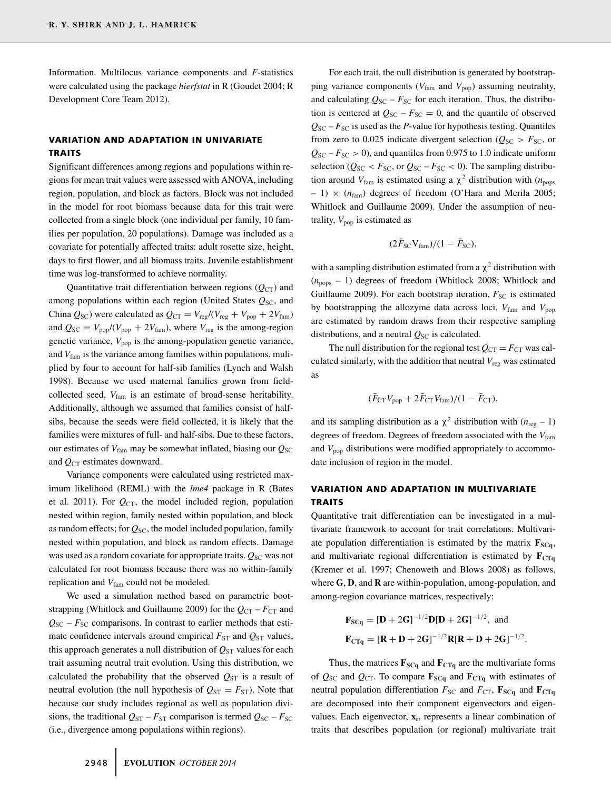Information. Multilocus variance components and *F*-statistics were calculated using the package *hierfstat* in R (Goudet 2004; R Development Core Team 2012).

#### **VARIATION AND ADAPTATION IN UNIVARIATE TRAITS**

Significant differences among regions and populations within regions for mean trait values were assessed with ANOVA, including region, population, and block as factors. Block was not included in the model for root biomass because data for this trait were collected from a single block (one individual per family, 10 families per population, 20 populations). Damage was included as a covariate for potentially affected traits: adult rosette size, height, days to first flower, and all biomass traits. Juvenile establishment time was log-transformed to achieve normality.

Quantitative trait differentiation between regions  $(Q_{CT})$  and among populations within each region (United States  $Q_{SC}$ , and China  $Q_{\text{SC}}$ ) were calculated as  $Q_{\text{CT}} = V_{\text{reg}} / (V_{\text{reg}} + V_{\text{pop}} + 2V_{\text{fam}})$ and  $Q_{\text{SC}} = V_{\text{pop}}/(V_{\text{pop}} + 2V_{\text{fam}})$ , where  $V_{\text{reg}}$  is the among-region genetic variance,  $V_{\text{pop}}$  is the among-population genetic variance, and *V*fam is the variance among families within populations, muliplied by four to account for half-sib families (Lynch and Walsh 1998). Because we used maternal families grown from fieldcollected seed,  $V_{\text{fam}}$  is an estimate of broad-sense heritability. Additionally, although we assumed that families consist of halfsibs, because the seeds were field collected, it is likely that the families were mixtures of full- and half-sibs. Due to these factors, our estimates of  $V_{\text{fam}}$  may be somewhat inflated, biasing our  $Q_{\text{SC}}$ and  $Q_{CT}$  estimates downward.

Variance components were calculated using restricted maximum likelihood (REML) with the *lme4* package in R (Bates et al. 2011). For  $Q_{CT}$ , the model included region, population nested within region, family nested within population, and block as random effects; for  $Q_{\rm SC}$ , the model included population, family nested within population, and block as random effects. Damage was used as a random covariate for appropriate traits.  $Q_{SC}$  was not calculated for root biomass because there was no within-family replication and  $V_{\text{fam}}$  could not be modeled.

We used a simulation method based on parametric bootstrapping (Whitlock and Guillaume 2009) for the  $Q_{CT} - F_{CT}$  and  $Q_{SC}$  –  $F_{SC}$  comparisons. In contrast to earlier methods that estimate confidence intervals around empirical  $F_{ST}$  and  $Q_{ST}$  values, this approach generates a null distribution of  $Q_{ST}$  values for each trait assuming neutral trait evolution. Using this distribution, we calculated the probability that the observed  $Q_{ST}$  is a result of neutral evolution (the null hypothesis of  $Q_{ST} = F_{ST}$ ). Note that because our study includes regional as well as population divisions, the traditional  $Q_{ST} - F_{ST}$  comparison is termed  $Q_{SC} - F_{SC}$ (i.e., divergence among populations within regions).

For each trait, the null distribution is generated by bootstrapping variance components ( $V_{\text{fam}}$  and  $V_{\text{pop}}$ ) assuming neutrality, and calculating  $Q_{SC} - F_{SC}$  for each iteration. Thus, the distribution is centered at  $Q_{SC} - F_{SC} = 0$ , and the quantile of observed  $Q_{SC} - F_{SC}$  is used as the *P*-value for hypothesis testing. Quantiles from zero to 0.025 indicate divergent selection ( $Q_{SC} > F_{SC}$ , or  $Q_{SC} - F_{SC} > 0$ , and quantiles from 0.975 to 1.0 indicate uniform selection ( $Q_{SC}$  <  $F_{SC}$ , or  $Q_{SC}$  –  $F_{SC}$  < 0). The sampling distribution around  $V_{\text{fam}}$  is estimated using a  $\chi^2$  distribution with ( $n_{\text{pops}}$ )  $- 1) \times (n_{\text{fam}})$  degrees of freedom (O'Hara and Merila 2005; Whitlock and Guillaume 2009). Under the assumption of neutrality,  $V_{\text{non}}$  is estimated as

$$
(2\bar{F}_{SC}V_{\text{fam}})/(1-\bar{F}_{SC}),
$$

with a sampling distribution estimated from a  $\chi^2$  distribution with  $(n_{\text{pons}} - 1)$  degrees of freedom (Whitlock 2008; Whitlock and Guillaume 2009). For each bootstrap iteration,  $F_{SC}$  is estimated by bootstrapping the allozyme data across loci,  $V_{\text{fam}}$  and  $V_{\text{pop}}$ are estimated by random draws from their respective sampling distributions, and a neutral  $Q_{SC}$  is calculated.

The null distribution for the regional test  $Q_{CT} = F_{CT}$  was calculated similarly, with the addition that neutral *V*reg was estimated as

$$
(\bar{F}_{\rm CT}V_{\rm pop} + 2\bar{F}_{\rm CT}V_{\rm fam})/(1-\bar{F}_{\rm CT}),
$$

and its sampling distribution as a  $\chi^2$  distribution with  $(n_{\text{reg}} - 1)$ degrees of freedom. Degrees of freedom associated with the  $V_{\text{fam}}$ and  $V_{\text{pop}}$  distributions were modified appropriately to accommodate inclusion of region in the model.

## **VARIATION AND ADAPTATION IN MULTIVARIATE TRAITS**

Quantitative trait differentiation can be investigated in a multivariate framework to account for trait correlations. Multivariate population differentiation is estimated by the matrix  $\mathbf{F}_{SCq}$ , and multivariate regional differentiation is estimated by  $\mathbf{F}_{CTq}$ (Kremer et al. 1997; Chenoweth and Blows 2008) as follows, where **G**, **D**, and **R** are within-population, among-population, and among-region covariance matrices, respectively:

$$
\mathbf{F}_{\text{SCq}} = [\mathbf{D} + 2\mathbf{G}]^{-1/2} \mathbf{D} [\mathbf{D} + 2\mathbf{G}]^{-1/2}
$$
, and  
\n $\mathbf{F}_{\text{CTq}} = [\mathbf{R} + \mathbf{D} + 2\mathbf{G}]^{-1/2} \mathbf{R} [\mathbf{R} + \mathbf{D} + 2\mathbf{G}]^{-1/2}$ .

Thus, the matrices  $\mathbf{F}_{SCq}$  and  $\mathbf{F}_{CTq}$  are the multivariate forms of  $Q_{SC}$  and  $Q_{CT}$ . To compare  $\mathbf{F}_{SCq}$  and  $\mathbf{F}_{CTq}$  with estimates of neutral population differentiation  $F_{SC}$  and  $F_{CT}$ ,  $\mathbf{F}_{SCq}$  and  $\mathbf{F}_{CTq}$ are decomposed into their component eigenvectors and eigenvalues. Each eigenvector,  $\mathbf{x}_i$ , represents a linear combination of traits that describes population (or regional) multivariate trait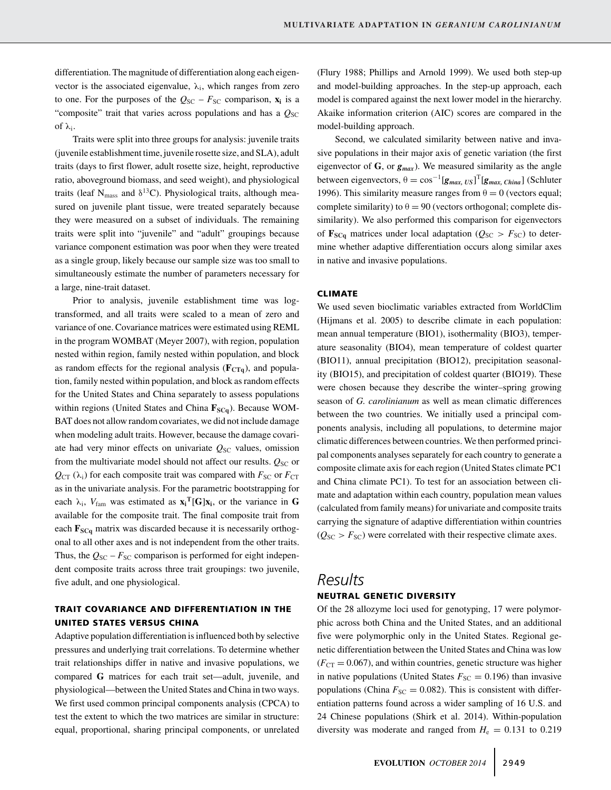differentiation. The magnitude of differentiation along each eigenvector is the associated eigenvalue,  $\lambda_i$ , which ranges from zero to one. For the purposes of the  $Q_{SC} - F_{SC}$  comparison,  $\mathbf{x}_i$  is a "composite" trait that varies across populations and has a  $Q_{\rm SC}$ of λi.

Traits were split into three groups for analysis: juvenile traits (juvenile establishment time, juvenile rosette size, and SLA), adult traits (days to first flower, adult rosette size, height, reproductive ratio, aboveground biomass, and seed weight), and physiological traits (leaf  $N_{\text{mass}}$  and  $\delta^{13}$ C). Physiological traits, although measured on juvenile plant tissue, were treated separately because they were measured on a subset of individuals. The remaining traits were split into "juvenile" and "adult" groupings because variance component estimation was poor when they were treated as a single group, likely because our sample size was too small to simultaneously estimate the number of parameters necessary for a large, nine-trait dataset.

Prior to analysis, juvenile establishment time was logtransformed, and all traits were scaled to a mean of zero and variance of one. Covariance matrices were estimated using REML in the program WOMBAT (Meyer 2007), with region, population nested within region, family nested within population, and block as random effects for the regional analysis  $(\mathbf{F}_{CTq})$ , and population, family nested within population, and block as random effects for the United States and China separately to assess populations within regions (United States and China  $\mathbf{F}_{SCa}$ ). Because WOM-BAT does not allow random covariates, we did not include damage when modeling adult traits. However, because the damage covariate had very minor effects on univariate  $Q_{SC}$  values, omission from the multivariate model should not affect our results.  $Q_{SC}$  or  $Q_{\text{CT}}(\lambda_i)$  for each composite trait was compared with  $F_{\text{SC}}$  or  $F_{\text{CT}}$ as in the univariate analysis. For the parametric bootstrapping for each  $\lambda_i$ ,  $V_{\text{fam}}$  was estimated as  $\mathbf{x_i}^T[\mathbf{G}] \mathbf{x_i}$ , or the variance in **G** available for the composite trait. The final composite trait from each  $\mathbf{F}_{SCq}$  matrix was discarded because it is necessarily orthogonal to all other axes and is not independent from the other traits. Thus, the  $Q_{SC}$  –  $F_{SC}$  comparison is performed for eight independent composite traits across three trait groupings: two juvenile, five adult, and one physiological.

## **TRAIT COVARIANCE AND DIFFERENTIATION IN THE UNITED STATES VERSUS CHINA**

Adaptive population differentiation is influenced both by selective pressures and underlying trait correlations. To determine whether trait relationships differ in native and invasive populations, we compared **G** matrices for each trait set—adult, juvenile, and physiological—between the United States and China in two ways. We first used common principal components analysis (CPCA) to test the extent to which the two matrices are similar in structure: equal, proportional, sharing principal components, or unrelated

(Flury 1988; Phillips and Arnold 1999). We used both step-up and model-building approaches. In the step-up approach, each model is compared against the next lower model in the hierarchy. Akaike information criterion (AIC) scores are compared in the model-building approach.

Second, we calculated similarity between native and invasive populations in their major axis of genetic variation (the first eigenvector of  $\bf{G}$ , or  $\bf{g}_{max}$ ). We measured similarity as the angle between eigenvectors,  $\theta = \cos^{-1} [g_{max, US}]^T [g_{max, China}]$  (Schluter 1996). This similarity measure ranges from  $\theta = 0$  (vectors equal; complete similarity) to  $\theta = 90$  (vectors orthogonal; complete dissimilarity). We also performed this comparison for eigenvectors of  $\mathbf{F}_{SCq}$  matrices under local adaptation ( $Q_{SC} > F_{SC}$ ) to determine whether adaptive differentiation occurs along similar axes in native and invasive populations.

#### **CLIMATE**

We used seven bioclimatic variables extracted from WorldClim (Hijmans et al. 2005) to describe climate in each population: mean annual temperature (BIO1), isothermality (BIO3), temperature seasonality (BIO4), mean temperature of coldest quarter (BIO11), annual precipitation (BIO12), precipitation seasonality (BIO15), and precipitation of coldest quarter (BIO19). These were chosen because they describe the winter–spring growing season of *G. carolinianum* as well as mean climatic differences between the two countries. We initially used a principal components analysis, including all populations, to determine major climatic differences between countries. We then performed principal components analyses separately for each country to generate a composite climate axis for each region (United States climate PC1 and China climate PC1). To test for an association between climate and adaptation within each country, population mean values (calculated from family means) for univariate and composite traits carrying the signature of adaptive differentiation within countries  $(Q_{SC} > F_{SC})$  were correlated with their respective climate axes.

# *Results* **NEUTRAL GENETIC DIVERSITY**

Of the 28 allozyme loci used for genotyping, 17 were polymorphic across both China and the United States, and an additional five were polymorphic only in the United States. Regional genetic differentiation between the United States and China was low  $(F_{CT} = 0.067)$ , and within countries, genetic structure was higher in native populations (United States  $F_{SC} = 0.196$ ) than invasive populations (China  $F_{SC} = 0.082$ ). This is consistent with differentiation patterns found across a wider sampling of 16 U.S. and 24 Chinese populations (Shirk et al. 2014). Within-population diversity was moderate and ranged from  $H<sub>e</sub> = 0.131$  to 0.219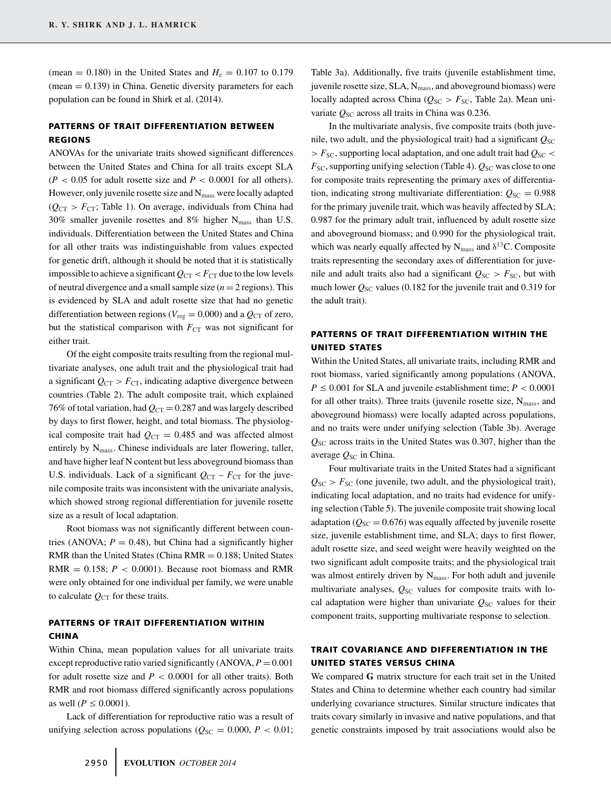(mean =  $0.180$ ) in the United States and  $H_e = 0.107$  to 0.179  $(mean = 0.139)$  in China. Genetic diversity parameters for each population can be found in Shirk et al. (2014).

## **PATTERNS OF TRAIT DIFFERENTIATION BETWEEN REGIONS**

ANOVAs for the univariate traits showed significant differences between the United States and China for all traits except SLA  $(P < 0.05$  for adult rosette size and  $P < 0.0001$  for all others). However, only juvenile rosette size and  $N_{\rm mass}$  were locally adapted  $(Q_{CT} > F_{CT}$ ; Table 1). On average, individuals from China had 30% smaller juvenile rosettes and 8% higher  $N_{\text{mass}}$  than U.S. individuals. Differentiation between the United States and China for all other traits was indistinguishable from values expected for genetic drift, although it should be noted that it is statistically impossible to achieve a significant  $Q_{CT} < F_{CT}$  due to the low levels of neutral divergence and a small sample size  $(n = 2$  regions). This is evidenced by SLA and adult rosette size that had no genetic differentiation between regions ( $V_{reg} = 0.000$ ) and a  $Q_{CT}$  of zero, but the statistical comparison with  $F_{CT}$  was not significant for either trait.

Of the eight composite traits resulting from the regional multivariate analyses, one adult trait and the physiological trait had a significant  $Q_{CT} > F_{CT}$ , indicating adaptive divergence between countries (Table 2). The adult composite trait, which explained 76% of total variation, had  $Q_{CT} = 0.287$  and was largely described by days to first flower, height, and total biomass. The physiological composite trait had  $Q_{CT} = 0.485$  and was affected almost entirely by N<sub>mass</sub>. Chinese individuals are later flowering, taller, and have higher leaf N content but less aboveground biomass than U.S. individuals. Lack of a significant  $Q_{CT} - F_{CT}$  for the juvenile composite traits was inconsistent with the univariate analysis, which showed strong regional differentiation for juvenile rosette size as a result of local adaptation.

Root biomass was not significantly different between countries (ANOVA;  $P = 0.48$ ), but China had a significantly higher RMR than the United States (China  $RMR = 0.188$ ; United States RMR  $= 0.158$ ;  $P < 0.0001$ ). Because root biomass and RMR were only obtained for one individual per family, we were unable to calculate  $Q_{CT}$  for these traits.

## **PATTERNS OF TRAIT DIFFERENTIATION WITHIN CHINA**

Within China, mean population values for all univariate traits except reproductive ratio varied significantly  $(ANOVA, P = 0.001)$ for adult rosette size and  $P < 0.0001$  for all other traits). Both RMR and root biomass differed significantly across populations as well ( $P \le 0.0001$ ).

Lack of differentiation for reproductive ratio was a result of unifying selection across populations ( $Q_{SC} = 0.000$ ,  $P < 0.01$ ;

Table 3a). Additionally, five traits (juvenile establishment time, juvenile rosette size,  $SLA$ ,  $N_{mass}$ , and aboveground biomass) were locally adapted across China ( $Q_{SC} > F_{SC}$ , Table 2a). Mean univariate  $Q_{SC}$  across all traits in China was 0.236.

In the multivariate analysis, five composite traits (both juvenile, two adult, and the physiological trait) had a significant  $Q_{SC}$ *> F*SC, supporting local adaptation, and one adult trait had *Q*SC *<*  $F_{SC}$ , supporting unifying selection (Table 4).  $Q_{SC}$  was close to one for composite traits representing the primary axes of differentiation, indicating strong multivariate differentiation:  $Q_{\rm SC} = 0.988$ for the primary juvenile trait, which was heavily affected by SLA; 0.987 for the primary adult trait, influenced by adult rosette size and aboveground biomass; and 0.990 for the physiological trait, which was nearly equally affected by  $N_{\text{mass}}$  and  $\delta^{13}$ C. Composite traits representing the secondary axes of differentiation for juvenile and adult traits also had a significant  $Q_{SC} > F_{SC}$ , but with much lower  $Q_{SC}$  values (0.182 for the juvenile trait and 0.319 for the adult trait).

## **PATTERNS OF TRAIT DIFFERENTIATION WITHIN THE UNITED STATES**

Within the United States, all univariate traits, including RMR and root biomass, varied significantly among populations (ANOVA,  $P \le 0.001$  for SLA and juvenile establishment time;  $P < 0.0001$ for all other traits). Three traits (juvenile rosette size,  $N_{\text{mass}}$ , and aboveground biomass) were locally adapted across populations, and no traits were under unifying selection (Table 3b). Average *Q*SC across traits in the United States was 0.307, higher than the average  $Q_{SC}$  in China.

Four multivariate traits in the United States had a significant  $Q_{\text{SC}}$  *> F*<sub>SC</sub> (one juvenile, two adult, and the physiological trait), indicating local adaptation, and no traits had evidence for unifying selection (Table 5). The juvenile composite trait showing local adaptation ( $Q_{SC} = 0.676$ ) was equally affected by juvenile rosette size, juvenile establishment time, and SLA; days to first flower, adult rosette size, and seed weight were heavily weighted on the two significant adult composite traits; and the physiological trait was almost entirely driven by N<sub>mass</sub>. For both adult and juvenile multivariate analyses,  $Q_{SC}$  values for composite traits with local adaptation were higher than univariate  $Q_{SC}$  values for their component traits, supporting multivariate response to selection.

## **TRAIT COVARIANCE AND DIFFERENTIATION IN THE UNITED STATES VERSUS CHINA**

We compared **G** matrix structure for each trait set in the United States and China to determine whether each country had similar underlying covariance structures. Similar structure indicates that traits covary similarly in invasive and native populations, and that genetic constraints imposed by trait associations would also be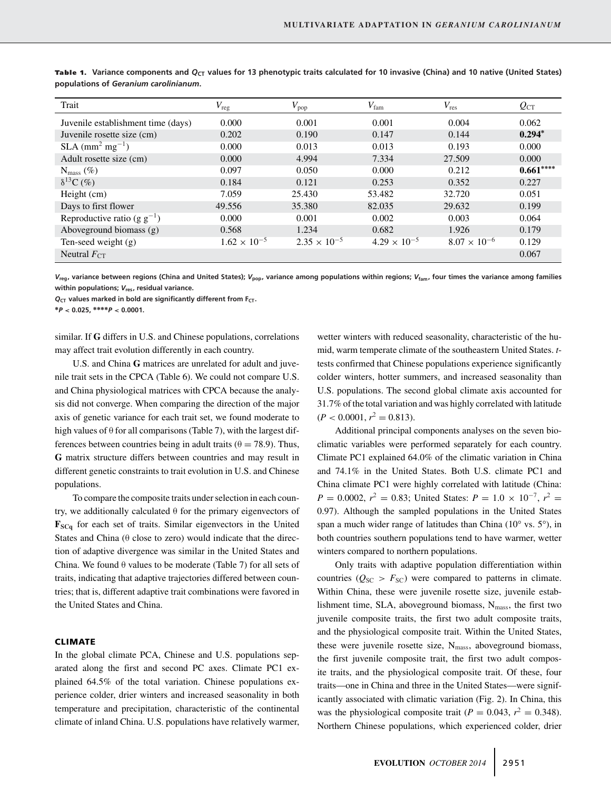| Trait                                     | $V_{\text{reg}}$      | $V_{\text{pop}}$      | $V_{\text{fam}}$      | $V_{\rm res}$         | $Q_{\text{CT}}$ |
|-------------------------------------------|-----------------------|-----------------------|-----------------------|-----------------------|-----------------|
| Juvenile establishment time (days)        | 0.000                 | 0.001                 | 0.001                 | 0.004                 | 0.062           |
| Juvenile rosette size (cm)                | 0.202                 | 0.190                 | 0.147                 | 0.144                 | $0.294*$        |
| $SLA$ (mm <sup>2</sup> mg <sup>-1</sup> ) | 0.000                 | 0.013                 | 0.013                 | 0.193                 | 0.000           |
| Adult rosette size (cm)                   | 0.000                 | 4.994                 | 7.334                 | 27.509                | 0.000           |
| $N_{\rm mass}(\%)$                        | 0.097                 | 0.050                 | 0.000                 | 0.212                 | $0.661***$      |
| $\delta^{13}C$ (%)                        | 0.184                 | 0.121                 | 0.253                 | 0.352                 | 0.227           |
| Height (cm)                               | 7.059                 | 25.430                | 53.482                | 32.720                | 0.051           |
| Days to first flower                      | 49.556                | 35.380                | 82.035                | 29.632                | 0.199           |
| Reproductive ratio (g $g^{-1}$ )          | 0.000                 | 0.001                 | 0.002                 | 0.003                 | 0.064           |
| Aboveground biomass (g)                   | 0.568                 | 1.234                 | 0.682                 | 1.926                 | 0.179           |
| Ten-seed weight (g)                       | $1.62 \times 10^{-5}$ | $2.35 \times 10^{-5}$ | $4.29 \times 10^{-5}$ | $8.07 \times 10^{-6}$ | 0.129           |
| Neutral $F_{CT}$                          |                       |                       |                       |                       | 0.067           |

Table 1. Variance components and Q<sub>CT</sub> values for 13 phenotypic traits calculated for 10 invasive (China) and 10 native (United States) **populations of** *Geranium carolinianum***.**

*V***reg, variance between regions (China and United States);** *V***pop, variance among populations within regions;** *V***fam, four times the variance among families within populations;** *V***res, residual variance.**

 $Q<sub>CT</sub>$  values marked in bold are significantly different from  $F<sub>CT</sub>$ .

**∗***P* **< 0.025, ∗∗∗∗***P* **< 0.0001.**

similar. If **G** differs in U.S. and Chinese populations, correlations may affect trait evolution differently in each country.

U.S. and China **G** matrices are unrelated for adult and juvenile trait sets in the CPCA (Table 6). We could not compare U.S. and China physiological matrices with CPCA because the analysis did not converge. When comparing the direction of the major axis of genetic variance for each trait set, we found moderate to high values of  $\theta$  for all comparisons (Table 7), with the largest differences between countries being in adult traits ( $\theta = 78.9$ ). Thus, **G** matrix structure differs between countries and may result in different genetic constraints to trait evolution in U.S. and Chinese populations.

To compare the composite traits under selection in each country, we additionally calculated  $\theta$  for the primary eigenvectors of **FSCq** for each set of traits. Similar eigenvectors in the United States and China  $(\theta \text{ close to zero})$  would indicate that the direction of adaptive divergence was similar in the United States and China. We found  $\theta$  values to be moderate (Table 7) for all sets of traits, indicating that adaptive trajectories differed between countries; that is, different adaptive trait combinations were favored in the United States and China.

#### **CLIMATE**

In the global climate PCA, Chinese and U.S. populations separated along the first and second PC axes. Climate PC1 explained 64.5% of the total variation. Chinese populations experience colder, drier winters and increased seasonality in both temperature and precipitation, characteristic of the continental climate of inland China. U.S. populations have relatively warmer,

wetter winters with reduced seasonality, characteristic of the humid, warm temperate climate of the southeastern United States. *t*tests confirmed that Chinese populations experience significantly colder winters, hotter summers, and increased seasonality than U.S. populations. The second global climate axis accounted for 31.7% of the total variation and was highly correlated with latitude  $(P < 0.0001, r^2 = 0.813).$ 

Additional principal components analyses on the seven bioclimatic variables were performed separately for each country. Climate PC1 explained 64.0% of the climatic variation in China and 74.1% in the United States. Both U.S. climate PC1 and China climate PC1 were highly correlated with latitude (China:  $P = 0.0002$ ,  $r^2 = 0.83$ ; United States:  $P = 1.0 \times 10^{-7}$ ,  $r^2 =$ 0.97). Although the sampled populations in the United States span a much wider range of latitudes than China (10° vs. 5°), in both countries southern populations tend to have warmer, wetter winters compared to northern populations.

Only traits with adaptive population differentiation within countries ( $Q_{SC} > F_{SC}$ ) were compared to patterns in climate. Within China, these were juvenile rosette size, juvenile establishment time, SLA, aboveground biomass,  $N_{\text{mass}}$ , the first two juvenile composite traits, the first two adult composite traits, and the physiological composite trait. Within the United States, these were juvenile rosette size, N<sub>mass</sub>, aboveground biomass, the first juvenile composite trait, the first two adult composite traits, and the physiological composite trait. Of these, four traits—one in China and three in the United States—were significantly associated with climatic variation (Fig. 2). In China, this was the physiological composite trait ( $P = 0.043$ ,  $r^2 = 0.348$ ). Northern Chinese populations, which experienced colder, drier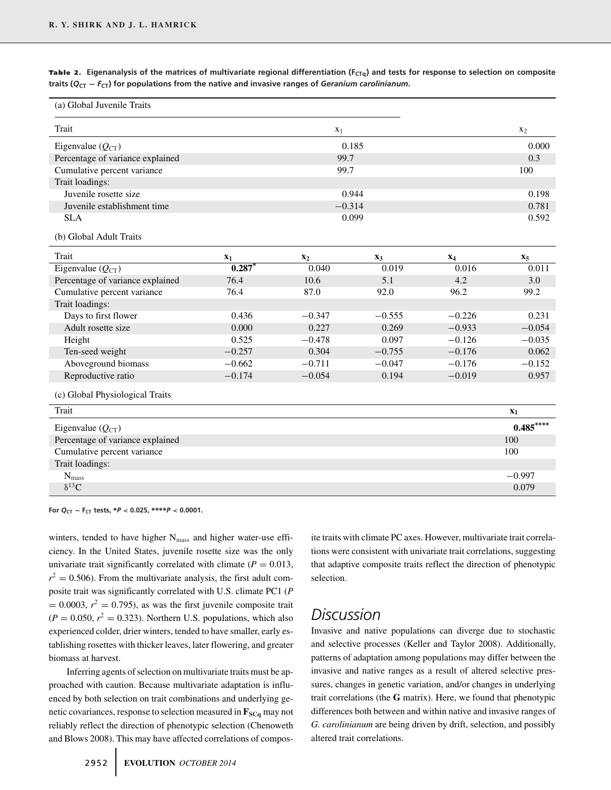Table 2. Eigenanalysis of the matrices of multivariate regional differentiation (F<sub>CTq</sub>) and tests for response to selection on composite *traits (* $Q_{CT} - F_{CT}$ *) for populations from the native and invasive ranges of Geranium carolinianum***.** 

| (a) Global Juvenile Traits       |          |                |          |          |                |
|----------------------------------|----------|----------------|----------|----------|----------------|
| Trait                            |          | $X_1$          |          |          | $x_2$          |
| Eigenvalue $(Q_{CT})$            |          |                | 0.185    |          | 0.000          |
| Percentage of variance explained |          | 99.7           |          |          | 0.3            |
| Cumulative percent variance      |          | 99.7           |          |          | 100            |
| Trait loadings:                  |          |                |          |          |                |
| Juvenile rosette size            |          |                | 0.944    |          | 0.198          |
| Juvenile establishment time      |          | $-0.314$       |          |          | 0.781          |
| <b>SLA</b>                       |          |                | 0.099    |          | 0.592          |
| (b) Global Adult Traits          |          |                |          |          |                |
| Trait                            | $x_1$    | $\mathbf{x}_2$ | $X_3$    | $X_4$    | $X_5$          |
| Eigenvalue $(Q_{CT})$            | $0.287*$ | 0.040          | 0.019    | 0.016    | 0.011          |
| Percentage of variance explained | 76.4     | 10.6           | 5.1      | 4.2      | 3.0            |
| Cumulative percent variance      | 76.4     | 87.0           | 92.0     | 96.2     | 99.2           |
| Trait loadings:                  |          |                |          |          |                |
| Days to first flower             | 0.436    | $-0.347$       | $-0.555$ | $-0.226$ | 0.231          |
| Adult rosette size               | 0.000    | 0.227          | 0.269    | $-0.933$ | $-0.054$       |
| Height                           | 0.525    | $-0.478$       | 0.097    | $-0.126$ | $-0.035$       |
| Ten-seed weight                  | $-0.257$ | 0.304          | $-0.755$ | $-0.176$ | 0.062          |
| Aboveground biomass              | $-0.662$ | $-0.711$       | $-0.047$ | $-0.176$ | $-0.152$       |
| Reproductive ratio               | $-0.174$ | $-0.054$       | 0.194    | $-0.019$ | 0.957          |
| (c) Global Physiological Traits  |          |                |          |          |                |
| Trait                            |          |                |          |          | $\mathbf{x}_1$ |
| Eigenvalue $(Q_{CT})$            |          |                |          |          | $0.485***$     |
| Percentage of variance explained |          |                |          |          | 100            |
| Cumulative percent variance      |          |                |          |          | 100            |
| Trait loadings:                  |          |                |          |          |                |
| $\mathbf{N}_{mass}$              |          |                |          |          | $-0.997$       |
| $\delta^{13}C$                   |          |                |          |          | 0.079          |

**For** *Q***CT − FCT tests, ∗***P* **< 0.025, ∗∗∗∗***P* **< 0.0001.**

winters, tended to have higher N<sub>mass</sub> and higher water-use efficiency. In the United States, juvenile rosette size was the only univariate trait significantly correlated with climate ( $P = 0.013$ ,  $r^2 = 0.506$ ). From the multivariate analysis, the first adult composite trait was significantly correlated with U.S. climate PC1 (*P*  $= 0.0003$ ,  $r^2 = 0.795$ ), as was the first juvenile composite trait  $(P = 0.050, r^2 = 0.323)$ . Northern U.S. populations, which also experienced colder, drier winters, tended to have smaller, early establishing rosettes with thicker leaves, later flowering, and greater biomass at harvest.

Inferring agents of selection on multivariate traits must be approached with caution. Because multivariate adaptation is influenced by both selection on trait combinations and underlying genetic covariances, response to selection measured in  $\mathbf{F}_{SCq}$  may not reliably reflect the direction of phenotypic selection (Chenoweth and Blows 2008). This may have affected correlations of composite traits with climate PC axes. However, multivariate trait correlations were consistent with univariate trait correlations, suggesting that adaptive composite traits reflect the direction of phenotypic selection.

# *Discussion*

Invasive and native populations can diverge due to stochastic and selective processes (Keller and Taylor 2008). Additionally, patterns of adaptation among populations may differ between the invasive and native ranges as a result of altered selective pressures, changes in genetic variation, and/or changes in underlying trait correlations (the **G** matrix). Here, we found that phenotypic differences both between and within native and invasive ranges of *G. carolinianum* are being driven by drift, selection, and possibly altered trait correlations.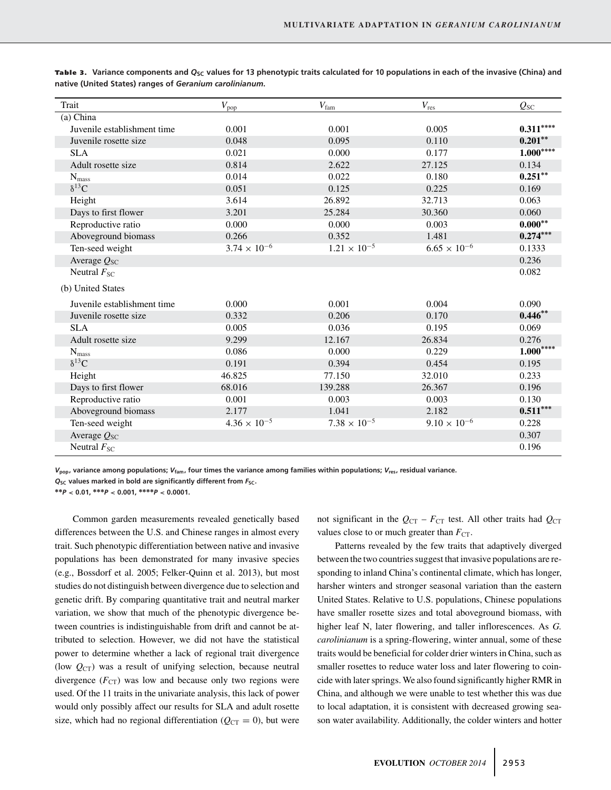| Trait                       | $V_{\text{pop}}$      | $V_{\text{fam}}$      | $V_{\rm res}$         | $Q_{SC}$   |
|-----------------------------|-----------------------|-----------------------|-----------------------|------------|
| (a) China                   |                       |                       |                       |            |
| Juvenile establishment time | 0.001                 | 0.001                 | 0.005                 | $0.311***$ |
| Juvenile rosette size       | 0.048                 | 0.095                 | 0.110                 | $0.201**$  |
| <b>SLA</b>                  | 0.021                 | 0.000                 | 0.177                 | $1.000***$ |
| Adult rosette size          | 0.814                 | 2.622                 | 27.125                | 0.134      |
| $N_{\rm mass}$              | 0.014                 | 0.022                 | 0.180                 | $0.251**$  |
| $\delta^{13}C$              | 0.051                 | 0.125                 | 0.225                 | 0.169      |
| Height                      | 3.614                 | 26.892                | 32.713                | 0.063      |
| Days to first flower        | 3.201                 | 25.284                | 30.360                | 0.060      |
| Reproductive ratio          | 0.000                 | 0.000                 | 0.003                 | $0.000**$  |
| Aboveground biomass         | 0.266                 | 0.352                 | 1.481                 | $0.274***$ |
| Ten-seed weight             | $3.74 \times 10^{-6}$ | $1.21 \times 10^{-5}$ | $6.65 \times 10^{-6}$ | 0.1333     |
| Average $Q_{SC}$            |                       |                       |                       | 0.236      |
| Neutral $F_{SC}$            |                       |                       |                       | 0.082      |
| (b) United States           |                       |                       |                       |            |
| Juvenile establishment time | 0.000                 | 0.001                 | 0.004                 | 0.090      |
| Juvenile rosette size       | 0.332                 | 0.206                 | 0.170                 | $0.446**$  |
| <b>SLA</b>                  | 0.005                 | 0.036                 | 0.195                 | 0.069      |
| Adult rosette size          | 9.299                 | 12.167                | 26.834                | 0.276      |
| $N_{\rm mass}$              | 0.086                 | 0.000                 | 0.229                 | $1.000***$ |
| $\delta^{13}$ C             | 0.191                 | 0.394                 | 0.454                 | 0.195      |
| Height                      | 46.825                | 77.150                | 32.010                | 0.233      |
| Days to first flower        | 68.016                | 139.288               | 26.367                | 0.196      |
| Reproductive ratio          | 0.001                 | 0.003                 | 0.003                 | 0.130      |
| Aboveground biomass         | 2.177                 | 1.041                 | 2.182                 | $0.511***$ |
| Ten-seed weight             | $4.36 \times 10^{-5}$ | $7.38 \times 10^{-5}$ | $9.10 \times 10^{-6}$ | 0.228      |
| Average $Q_{SC}$            |                       |                       |                       | 0.307      |
| Neutral $F_{SC}$            |                       |                       |                       | 0.196      |

Table 3. Variance components and Q<sub>SC</sub> values for 13 phenotypic traits calculated for 10 populations in each of the invasive (China) and **native (United States) ranges of** *Geranium carolinianum***.**

*V***pop, variance among populations;** *V***fam, four times the variance among families within populations;** *V***res, residual variance.**

**∗∗***P* **< 0.01, ∗∗∗***P* **< 0.001, ∗∗∗∗***P* **< 0.0001.**

Common garden measurements revealed genetically based differences between the U.S. and Chinese ranges in almost every trait. Such phenotypic differentiation between native and invasive populations has been demonstrated for many invasive species (e.g., Bossdorf et al. 2005; Felker-Quinn et al. 2013), but most studies do not distinguish between divergence due to selection and genetic drift. By comparing quantitative trait and neutral marker variation, we show that much of the phenotypic divergence between countries is indistinguishable from drift and cannot be attributed to selection. However, we did not have the statistical power to determine whether a lack of regional trait divergence (low  $Q_{CT}$ ) was a result of unifying selection, because neutral divergence  $(F_{CT})$  was low and because only two regions were used. Of the 11 traits in the univariate analysis, this lack of power would only possibly affect our results for SLA and adult rosette size, which had no regional differentiation ( $Q_{CT} = 0$ ), but were not significant in the  $Q_{CT}$  –  $F_{CT}$  test. All other traits had  $Q_{CT}$ values close to or much greater than  $F_{CT}$ .

Patterns revealed by the few traits that adaptively diverged between the two countries suggest that invasive populations are responding to inland China's continental climate, which has longer, harsher winters and stronger seasonal variation than the eastern United States. Relative to U.S. populations, Chinese populations have smaller rosette sizes and total aboveground biomass, with higher leaf N, later flowering, and taller inflorescences. As *G. carolinianum* is a spring-flowering, winter annual, some of these traits would be beneficial for colder drier winters in China, such as smaller rosettes to reduce water loss and later flowering to coincide with later springs. We also found significantly higher RMR in China, and although we were unable to test whether this was due to local adaptation, it is consistent with decreased growing season water availability. Additionally, the colder winters and hotter

 $Q_{SC}$  values marked in bold are significantly different from  $F_{SC}$ .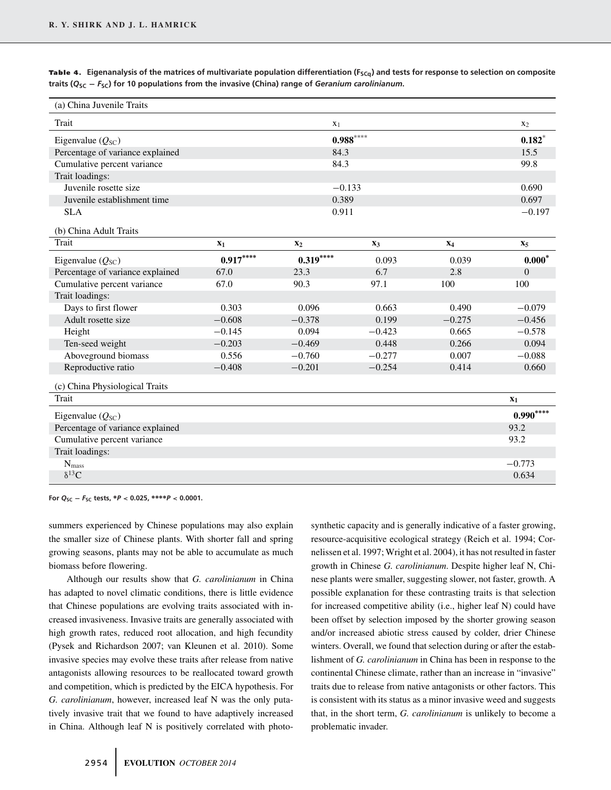Table 4. Eigenanalysis of the matrices of multivariate population differentiation (F<sub>SCq</sub>) and tests for response to selection on composite **traits (***Q***SC −** *F***SC) for 10 populations from the invasive (China) range of** *Geranium carolinianum***.**

| (a) China Juvenile Traits        |            |                |          |          |                  |
|----------------------------------|------------|----------------|----------|----------|------------------|
| Trait                            |            | X <sub>1</sub> |          |          | $x_2$            |
| Eigenvalue $(Q_{SC})$            | $0.988***$ |                |          |          |                  |
| Percentage of variance explained | 84.3       |                |          |          | 15.5             |
| Cumulative percent variance      |            | 84.3           |          |          | 99.8             |
| Trait loadings:                  |            |                |          |          |                  |
| Juvenile rosette size            |            | $-0.133$       |          |          | 0.690            |
| Juvenile establishment time      |            | 0.389          |          |          | 0.697            |
| <b>SLA</b>                       |            | 0.911          |          |          | $-0.197$         |
| (b) China Adult Traits           |            |                |          |          |                  |
| Trait                            | $X_1$      | $\mathbf{x}_2$ | $X_3$    | $X_4$    | $X_5$            |
| Eigenvalue $(Q_{SC})$            | $0.917***$ | $0.319***$     | 0.093    | 0.039    | $0.000*$         |
| Percentage of variance explained | 67.0       | 23.3           | 6.7      | 2.8      | $\boldsymbol{0}$ |
| Cumulative percent variance      | 67.0       | 90.3           | 97.1     | 100      | 100              |
| Trait loadings:                  |            |                |          |          |                  |
| Days to first flower             | 0.303      | 0.096          | 0.663    | 0.490    | $-0.079$         |
| Adult rosette size               | $-0.608$   | $-0.378$       | 0.199    | $-0.275$ | $-0.456$         |
| Height                           | $-0.145$   | 0.094          | $-0.423$ | 0.665    | $-0.578$         |
| Ten-seed weight                  | $-0.203$   | $-0.469$       | 0.448    | 0.266    | 0.094            |
| Aboveground biomass              | 0.556      | $-0.760$       | $-0.277$ | 0.007    | $-0.088$         |
| Reproductive ratio               | $-0.408$   | $-0.201$       | $-0.254$ | 0.414    | 0.660            |
| (c) China Physiological Traits   |            |                |          |          |                  |
| <b>Trait</b>                     |            |                |          |          | $X_1$            |
| Eigenvalue $(Q_{SC})$            |            |                |          |          | $0.990***$       |
| Percentage of variance explained |            |                |          |          | 93.2             |
| Cumulative percent variance      |            |                |          |          | 93.2             |
| Trait loadings:                  |            |                |          |          |                  |
| $N_{\rm mass}$                   |            |                |          |          | $-0.773$         |
| $\delta^{13}C$                   |            |                |          |          | 0.634            |

**For**  $Q_{SC} - F_{SC}$  **tests,**  $*P < 0.025$ ,  $****P < 0.0001$ .

summers experienced by Chinese populations may also explain the smaller size of Chinese plants. With shorter fall and spring growing seasons, plants may not be able to accumulate as much biomass before flowering.

Although our results show that *G. carolinianum* in China has adapted to novel climatic conditions, there is little evidence that Chinese populations are evolving traits associated with increased invasiveness. Invasive traits are generally associated with high growth rates, reduced root allocation, and high fecundity (Pysek and Richardson 2007; van Kleunen et al. 2010). Some invasive species may evolve these traits after release from native antagonists allowing resources to be reallocated toward growth and competition, which is predicted by the EICA hypothesis. For *G. carolinianum*, however, increased leaf N was the only putatively invasive trait that we found to have adaptively increased in China. Although leaf N is positively correlated with photo-

synthetic capacity and is generally indicative of a faster growing, resource-acquisitive ecological strategy (Reich et al. 1994; Cornelissen et al. 1997; Wright et al. 2004), it has not resulted in faster growth in Chinese *G. carolinianum*. Despite higher leaf N, Chinese plants were smaller, suggesting slower, not faster, growth. A possible explanation for these contrasting traits is that selection for increased competitive ability (i.e., higher leaf N) could have been offset by selection imposed by the shorter growing season and/or increased abiotic stress caused by colder, drier Chinese winters. Overall, we found that selection during or after the establishment of *G. carolinianum* in China has been in response to the continental Chinese climate, rather than an increase in "invasive" traits due to release from native antagonists or other factors. This is consistent with its status as a minor invasive weed and suggests that, in the short term, *G. carolinianum* is unlikely to become a problematic invader.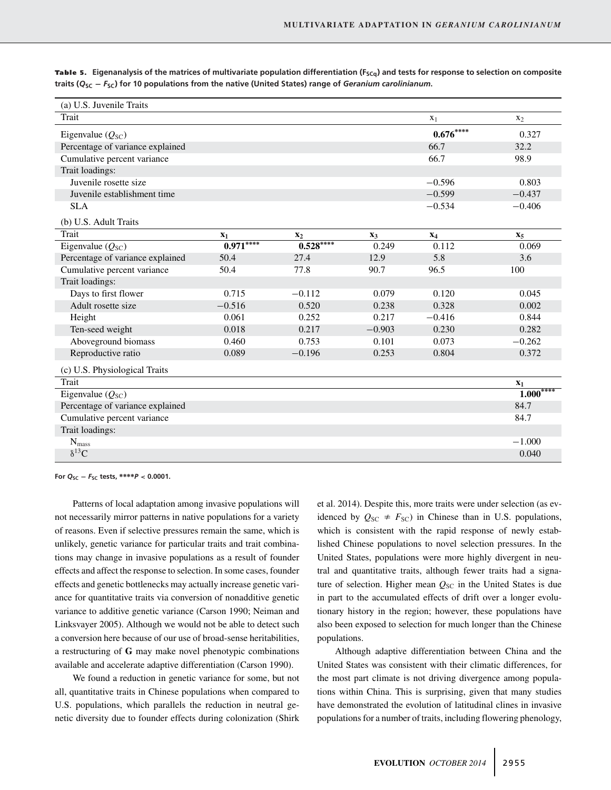| (a) U.S. Juvenile Traits         |            |                |          |                |                |
|----------------------------------|------------|----------------|----------|----------------|----------------|
| Trait                            |            |                |          | X <sub>1</sub> | X <sub>2</sub> |
| Eigenvalue $(Q_{SC})$            |            |                |          | $0.676***$     | 0.327          |
| Percentage of variance explained |            |                |          | 66.7           | 32.2           |
| Cumulative percent variance      |            |                |          | 66.7           | 98.9           |
| Trait loadings:                  |            |                |          |                |                |
| Juvenile rosette size            |            |                |          | $-0.596$       | 0.803          |
| Juvenile establishment time      |            |                |          | $-0.599$       | $-0.437$       |
| <b>SLA</b>                       |            |                |          | $-0.534$       | $-0.406$       |
| (b) U.S. Adult Traits            |            |                |          |                |                |
| Trait                            | $X_1$      | $\mathbf{x}_2$ | $X_3$    | $X_4$          | $X_5$          |
| Eigenvalue $(Q_{SC})$            | $0.971***$ | $0.528***$     | 0.249    | 0.112          | 0.069          |
| Percentage of variance explained | 50.4       | 27.4           | 12.9     | 5.8            | 3.6            |
| Cumulative percent variance      | 50.4       | 77.8           | 90.7     | 96.5           | 100            |
| Trait loadings:                  |            |                |          |                |                |
| Days to first flower             | 0.715      | $-0.112$       | 0.079    | 0.120          | 0.045          |
| Adult rosette size               | $-0.516$   | 0.520          | 0.238    | 0.328          | 0.002          |
| Height                           | 0.061      | 0.252          | 0.217    | $-0.416$       | 0.844          |
| Ten-seed weight                  | 0.018      | 0.217          | $-0.903$ | 0.230          | 0.282          |
| Aboveground biomass              | 0.460      | 0.753          | 0.101    | 0.073          | $-0.262$       |
| Reproductive ratio               | 0.089      | $-0.196$       | 0.253    | 0.804          | 0.372          |
| (c) U.S. Physiological Traits    |            |                |          |                |                |
| Trait                            |            |                |          |                | $x_1$          |
| Eigenvalue $(Q_{SC})$            |            |                |          |                | $1.000***$     |
| Percentage of variance explained |            |                |          |                | 84.7           |
| Cumulative percent variance      |            |                |          |                | 84.7           |
| Trait loadings:                  |            |                |          |                |                |
| $\mathbf{N}_{mass}$              |            |                |          |                | $-1.000$       |
| $\delta^{13}C$                   |            |                |          |                | 0.040          |

Table 5. Eigenanalysis of the matrices of multivariate population differentiation (F<sub>SCq</sub>) and tests for response to selection on composite **traits (***Q***SC −** *F***SC) for 10 populations from the native (United States) range of** *Geranium carolinianum***.**

**For** *Q***SC −** *F***SC tests, ∗∗∗∗***P* **< 0.0001.**

Patterns of local adaptation among invasive populations will not necessarily mirror patterns in native populations for a variety of reasons. Even if selective pressures remain the same, which is unlikely, genetic variance for particular traits and trait combinations may change in invasive populations as a result of founder effects and affect the response to selection. In some cases, founder effects and genetic bottlenecks may actually increase genetic variance for quantitative traits via conversion of nonadditive genetic variance to additive genetic variance (Carson 1990; Neiman and Linksvayer 2005). Although we would not be able to detect such a conversion here because of our use of broad-sense heritabilities, a restructuring of **G** may make novel phenotypic combinations available and accelerate adaptive differentiation (Carson 1990).

We found a reduction in genetic variance for some, but not all, quantitative traits in Chinese populations when compared to U.S. populations, which parallels the reduction in neutral genetic diversity due to founder effects during colonization (Shirk et al. 2014). Despite this, more traits were under selection (as evidenced by  $Q_{SC} \neq F_{SC}$ ) in Chinese than in U.S. populations, which is consistent with the rapid response of newly established Chinese populations to novel selection pressures. In the United States, populations were more highly divergent in neutral and quantitative traits, although fewer traits had a signature of selection. Higher mean  $Q_{SC}$  in the United States is due in part to the accumulated effects of drift over a longer evolutionary history in the region; however, these populations have also been exposed to selection for much longer than the Chinese populations.

Although adaptive differentiation between China and the United States was consistent with their climatic differences, for the most part climate is not driving divergence among populations within China. This is surprising, given that many studies have demonstrated the evolution of latitudinal clines in invasive populations for a number of traits, including flowering phenology,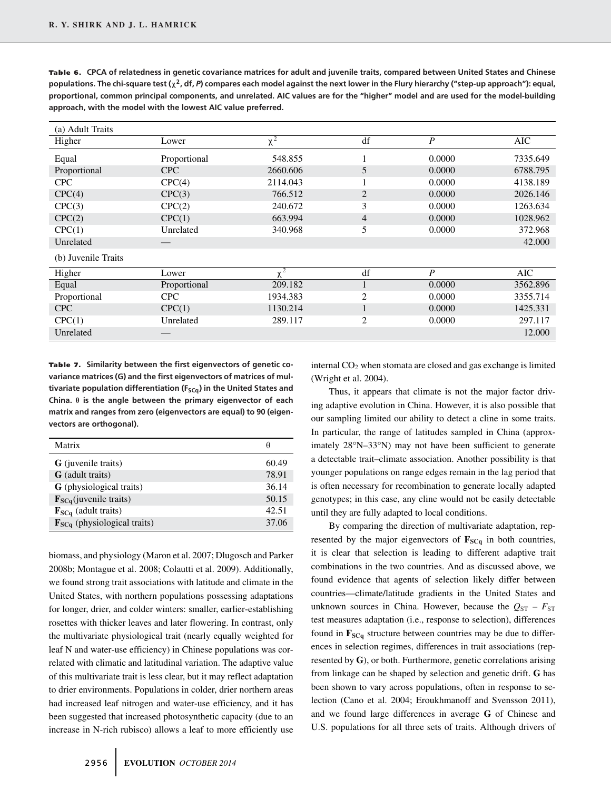| (a) Adult Traits    |              |                     |                |                  |            |
|---------------------|--------------|---------------------|----------------|------------------|------------|
| Higher              | Lower        | $\overline{\chi^2}$ | df             | $\boldsymbol{P}$ | AIC        |
| Equal               | Proportional | 548.855             | ı              | 0.0000           | 7335.649   |
| Proportional        | <b>CPC</b>   | 2660.606            | 5              | 0.0000           | 6788.795   |
| <b>CPC</b>          | CPC(4)       | 2114.043            | -1<br>$\perp$  | 0.0000           | 4138.189   |
| CPC(4)              | CPC(3)       | 766.512             | $\overline{2}$ | 0.0000           | 2026.146   |
| CPC(3)              | CPC(2)       | 240.672             | 3              | 0.0000           | 1263.634   |
| CPC(2)              | CPC(1)       | 663.994             | $\overline{4}$ | 0.0000           | 1028.962   |
| CPC(1)              | Unrelated    | 340.968             | 5              | 0.0000           | 372.968    |
| Unrelated           |              |                     |                |                  | 42.000     |
| (b) Juvenile Traits |              |                     |                |                  |            |
| Higher              | Lower        | $\mathbf{v}^2$      | df             | $\boldsymbol{P}$ | <b>AIC</b> |
| Equal               | Proportional | 209.182             | 1              | 0.0000           | 3562.896   |
| Proportional        | <b>CPC</b>   | 1934.383            | 2              | 0.0000           | 3355.714   |
| <b>CPC</b>          | CPC(1)       | 1130.214            | $\mathbf{1}$   | 0.0000           | 1425.331   |
| CPC(1)              | Unrelated    | 289.117             | $\overline{2}$ | 0.0000           | 297.117    |
| Unrelated           |              |                     |                |                  | 12.000     |
|                     |              |                     |                |                  |            |

Table 6. CPCA of relatedness in genetic covariance matrices for adult and juvenile traits, compared between United States and Chinese **populations. The chi-square test (χ2, df,** *P***) compares each model against the next lower in the Flury hierarchy ("step-up approach"): equal, proportional, common principal components, and unrelated. AIC values are for the "higher" model and are used for the model-building approach, with the model with the lowest AIC value preferred.**

Table 7. Similarity between the first eigenvectors of genetic co**variance matrices (G) and the first eigenvectors of matrices of mul**tivariate population differentiation (F<sub>SCq</sub>) in the United States and **China. θ is the angle between the primary eigenvector of each matrix and ranges from zero (eigenvectors are equal) to 90 (eigenvectors are orthogonal).**

| Matrix                                    | Η     |
|-------------------------------------------|-------|
| <b>G</b> (juvenile traits)                | 60.49 |
| <b>G</b> (adult traits)                   | 78.91 |
| <b>G</b> (physiological traits)           | 36.14 |
| $\mathbf{F}_{SCq}($ juvenile traits)      | 50.15 |
| $\mathbf{F}_{SCq}$ (adult traits)         | 42.51 |
| $\mathbf{F}_{SCq}$ (physiological traits) | 37.06 |

biomass, and physiology (Maron et al. 2007; Dlugosch and Parker 2008b; Montague et al. 2008; Colautti et al. 2009). Additionally, we found strong trait associations with latitude and climate in the United States, with northern populations possessing adaptations for longer, drier, and colder winters: smaller, earlier-establishing rosettes with thicker leaves and later flowering. In contrast, only the multivariate physiological trait (nearly equally weighted for leaf N and water-use efficiency) in Chinese populations was correlated with climatic and latitudinal variation. The adaptive value of this multivariate trait is less clear, but it may reflect adaptation to drier environments. Populations in colder, drier northern areas had increased leaf nitrogen and water-use efficiency, and it has been suggested that increased photosynthetic capacity (due to an increase in N-rich rubisco) allows a leaf to more efficiently use internal CO<sub>2</sub> when stomata are closed and gas exchange is limited (Wright et al. 2004).

Thus, it appears that climate is not the major factor driving adaptive evolution in China. However, it is also possible that our sampling limited our ability to detect a cline in some traits. In particular, the range of latitudes sampled in China (approximately 28°N–33°N) may not have been sufficient to generate a detectable trait–climate association. Another possibility is that younger populations on range edges remain in the lag period that is often necessary for recombination to generate locally adapted genotypes; in this case, any cline would not be easily detectable until they are fully adapted to local conditions.

By comparing the direction of multivariate adaptation, represented by the major eigenvectors of  $\mathbf{F}_{SCq}$  in both countries, it is clear that selection is leading to different adaptive trait combinations in the two countries. And as discussed above, we found evidence that agents of selection likely differ between countries—climate/latitude gradients in the United States and unknown sources in China. However, because the  $Q_{ST} - F_{ST}$ test measures adaptation (i.e., response to selection), differences found in  $\mathbf{F}_{SCq}$  structure between countries may be due to differences in selection regimes, differences in trait associations (represented by **G**), or both. Furthermore, genetic correlations arising from linkage can be shaped by selection and genetic drift. **G** has been shown to vary across populations, often in response to selection (Cano et al. 2004; Eroukhmanoff and Svensson 2011), and we found large differences in average **G** of Chinese and U.S. populations for all three sets of traits. Although drivers of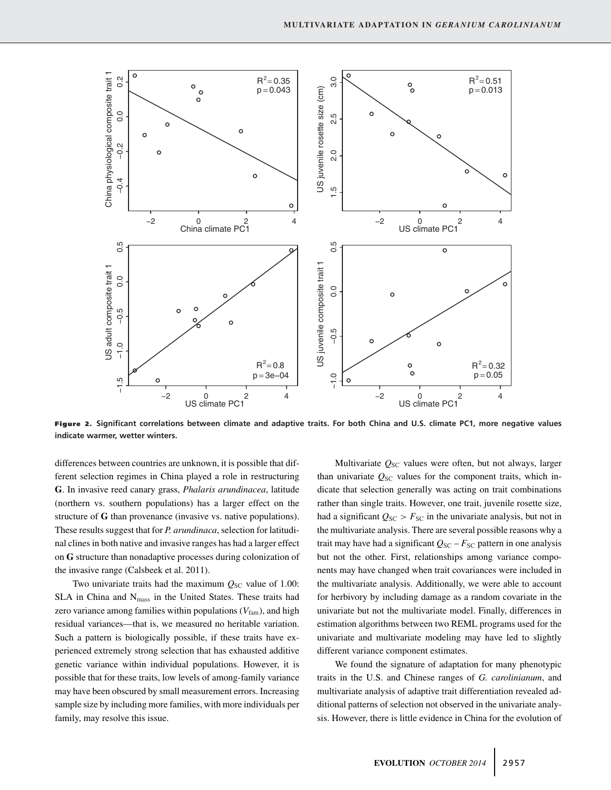

**Figure 2. Significant correlations between climate and adaptive traits. For both China and U.S. climate PC1, more negative values indicate warmer, wetter winters.**

differences between countries are unknown, it is possible that different selection regimes in China played a role in restructuring **G**. In invasive reed canary grass, *Phalaris arundinacea*, latitude (northern vs. southern populations) has a larger effect on the structure of **G** than provenance (invasive vs. native populations). These results suggest that for *P. arundinaca*, selection for latitudinal clines in both native and invasive ranges has had a larger effect on **G** structure than nonadaptive processes during colonization of the invasive range (Calsbeek et al. 2011).

Two univariate traits had the maximum  $Q_{SC}$  value of 1.00: SLA in China and N<sub>mass</sub> in the United States. These traits had zero variance among families within populations  $(V_{\text{fam}})$ , and high residual variances—that is, we measured no heritable variation. Such a pattern is biologically possible, if these traits have experienced extremely strong selection that has exhausted additive genetic variance within individual populations. However, it is possible that for these traits, low levels of among-family variance may have been obscured by small measurement errors. Increasing sample size by including more families, with more individuals per family, may resolve this issue.

Multivariate  $Q_{SC}$  values were often, but not always, larger than univariate  $Q_{SC}$  values for the component traits, which indicate that selection generally was acting on trait combinations rather than single traits. However, one trait, juvenile rosette size, had a significant  $Q_{SC} > F_{SC}$  in the univariate analysis, but not in the multivariate analysis. There are several possible reasons why a trait may have had a significant  $Q_{SC} - F_{SC}$  pattern in one analysis but not the other. First, relationships among variance components may have changed when trait covariances were included in the multivariate analysis. Additionally, we were able to account for herbivory by including damage as a random covariate in the univariate but not the multivariate model. Finally, differences in estimation algorithms between two REML programs used for the univariate and multivariate modeling may have led to slightly different variance component estimates.

We found the signature of adaptation for many phenotypic traits in the U.S. and Chinese ranges of *G. carolinianum*, and multivariate analysis of adaptive trait differentiation revealed additional patterns of selection not observed in the univariate analysis. However, there is little evidence in China for the evolution of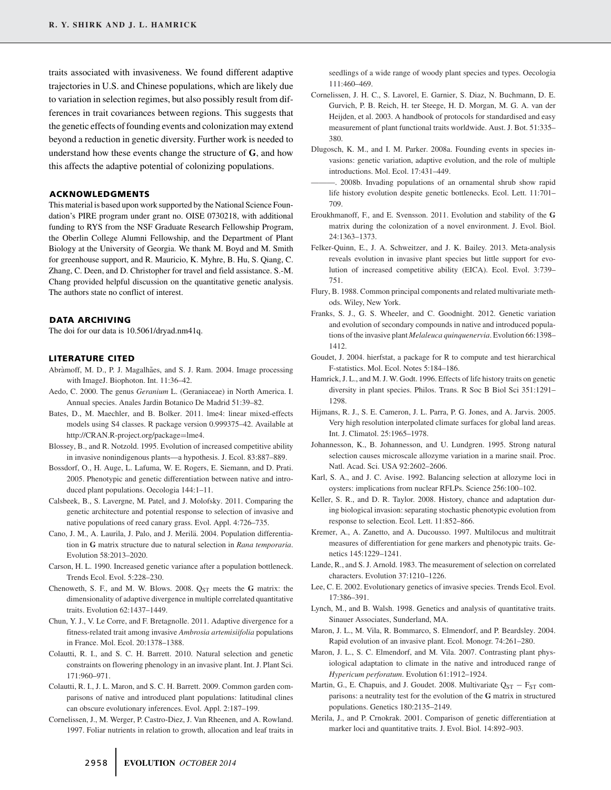traits associated with invasiveness. We found different adaptive trajectories in U.S. and Chinese populations, which are likely due to variation in selection regimes, but also possibly result from differences in trait covariances between regions. This suggests that the genetic effects of founding events and colonization may extend beyond a reduction in genetic diversity. Further work is needed to understand how these events change the structure of **G**, and how this affects the adaptive potential of colonizing populations.

#### **ACKNOWLEDGMENTS**

This material is based upon work supported by the National Science Foundation's PIRE program under grant no. OISE 0730218, with additional funding to RYS from the NSF Graduate Research Fellowship Program, the Oberlin College Alumni Fellowship, and the Department of Plant Biology at the University of Georgia. We thank M. Boyd and M. Smith for greenhouse support, and R. Mauricio, K. Myhre, B. Hu, S. Qiang, C. Zhang, C. Deen, and D. Christopher for travel and field assistance. S.-M. Chang provided helpful discussion on the quantitative genetic analysis. The authors state no conflict of interest.

#### **DATA ARCHIVING**

The doi for our data is 10.5061/dryad.nm41q.

#### **LITERATURE CITED**

- Abràmoff, M. D., P. J. Magalhães, and S. J. Ram. 2004. Image processing with ImageJ. Biophoton. Int. 11:36–42.
- Aedo, C. 2000. The genus *Geranium* L. (Geraniaceae) in North America. I. Annual species. Anales Jardin Botanico De Madrid 51:39–82.
- Bates, D., M. Maechler, and B. Bolker. 2011. lme4: linear mixed-effects models using S4 classes. R package version 0.999375–42. Available at http://CRAN.R-project.org/package=lme4.
- Blossey, B., and R. Notzold. 1995. Evolution of increased competitive ability in invasive nonindigenous plants—a hypothesis. J. Ecol. 83:887–889.
- Bossdorf, O., H. Auge, L. Lafuma, W. E. Rogers, E. Siemann, and D. Prati. 2005. Phenotypic and genetic differentiation between native and introduced plant populations. Oecologia 144:1–11.
- Calsbeek, B., S. Lavergne, M. Patel, and J. Molofsky. 2011. Comparing the genetic architecture and potential response to selection of invasive and native populations of reed canary grass. Evol. Appl. 4:726–735.
- Cano, J. M., A. Laurila, J. Palo, and J. Merilä. 2004. Population differentiation in **G** matrix structure due to natural selection in *Rana temporaria*. Evolution 58:2013–2020.
- Carson, H. L. 1990. Increased genetic variance after a population bottleneck. Trends Ecol. Evol. 5:228–230.
- Chenoweth, S. F., and M. W. Blows. 2008. Q<sub>ST</sub> meets the G matrix: the dimensionality of adaptive divergence in multiple correlated quantitative traits. Evolution 62:1437–1449.
- Chun, Y. J., V. Le Corre, and F. Bretagnolle. 2011. Adaptive divergence for a fitness-related trait among invasive *Ambrosia artemisiifolia* populations in France. Mol. Ecol. 20:1378–1388.
- Colautti, R. I., and S. C. H. Barrett. 2010. Natural selection and genetic constraints on flowering phenology in an invasive plant. Int. J. Plant Sci. 171:960–971.
- Colautti, R. I., J. L. Maron, and S. C. H. Barrett. 2009. Common garden comparisons of native and introduced plant populations: latitudinal clines can obscure evolutionary inferences. Evol. Appl. 2:187–199.
- Cornelissen, J., M. Werger, P. Castro-Diez, J. Van Rheenen, and A. Rowland. 1997. Foliar nutrients in relation to growth, allocation and leaf traits in

seedlings of a wide range of woody plant species and types. Oecologia 111:460–469.

- Cornelissen, J. H. C., S. Lavorel, E. Garnier, S. Diaz, N. Buchmann, D. E. Gurvich, P. B. Reich, H. ter Steege, H. D. Morgan, M. G. A. van der Heijden, et al. 2003. A handbook of protocols for standardised and easy measurement of plant functional traits worldwide. Aust. J. Bot. 51:335– 380.
- Dlugosch, K. M., and I. M. Parker. 2008a. Founding events in species invasions: genetic variation, adaptive evolution, and the role of multiple introductions. Mol. Ecol. 17:431–449.
- -. 2008b. Invading populations of an ornamental shrub show rapid life history evolution despite genetic bottlenecks. Ecol. Lett. 11:701– 709.
- Eroukhmanoff, F., and E. Svensson. 2011. Evolution and stability of the **G** matrix during the colonization of a novel environment. J. Evol. Biol. 24:1363–1373.
- Felker-Quinn, E., J. A. Schweitzer, and J. K. Bailey. 2013. Meta-analysis reveals evolution in invasive plant species but little support for evolution of increased competitive ability (EICA). Ecol. Evol. 3:739– 751.
- Flury, B. 1988. Common principal components and related multivariate methods. Wiley, New York.
- Franks, S. J., G. S. Wheeler, and C. Goodnight. 2012. Genetic variation and evolution of secondary compounds in native and introduced populations of the invasive plant *Melaleuca quinquenervia*. Evolution 66:1398– 1412.
- Goudet, J. 2004. hierfstat, a package for R to compute and test hierarchical F-statistics. Mol. Ecol. Notes 5:184–186.
- Hamrick, J. L., and M. J. W. Godt. 1996. Effects of life history traits on genetic diversity in plant species. Philos. Trans. R Soc B Biol Sci 351:1291– 1298.
- Hijmans, R. J., S. E. Cameron, J. L. Parra, P. G. Jones, and A. Jarvis. 2005. Very high resolution interpolated climate surfaces for global land areas. Int. J. Climatol. 25:1965–1978.
- Johannesson, K., B. Johannesson, and U. Lundgren. 1995. Strong natural selection causes microscale allozyme variation in a marine snail. Proc. Natl. Acad. Sci. USA 92:2602–2606.
- Karl, S. A., and J. C. Avise. 1992. Balancing selection at allozyme loci in oysters: implications from nuclear RFLPs. Science 256:100–102.
- Keller, S. R., and D. R. Taylor. 2008. History, chance and adaptation during biological invasion: separating stochastic phenotypic evolution from response to selection. Ecol. Lett. 11:852–866.
- Kremer, A., A. Zanetto, and A. Ducousso. 1997. Multilocus and multitrait measures of differentiation for gene markers and phenotypic traits. Genetics 145:1229–1241.
- Lande, R., and S. J. Arnold. 1983. The measurement of selection on correlated characters. Evolution 37:1210–1226.
- Lee, C. E. 2002. Evolutionary genetics of invasive species. Trends Ecol. Evol. 17:386–391.
- Lynch, M., and B. Walsh. 1998. Genetics and analysis of quantitative traits. Sinauer Associates, Sunderland, MA.
- Maron, J. L., M. Vila, R. Bommarco, S. Elmendorf, and P. Beardsley. 2004. Rapid evolution of an invasive plant. Ecol. Monogr. 74:261–280.
- Maron, J. L., S. C. Elmendorf, and M. Vila. 2007. Contrasting plant physiological adaptation to climate in the native and introduced range of *Hypericum perforatum*. Evolution 61:1912–1924.
- Martin, G., E. Chapuis, and J. Goudet. 2008. Multivariate  $Q_{ST} F_{ST}$  comparisons: a neutrality test for the evolution of the **G** matrix in structured populations. Genetics 180:2135–2149.
- Merila, J., and P. Crnokrak. 2001. Comparison of genetic differentiation at marker loci and quantitative traits. J. Evol. Biol. 14:892–903.